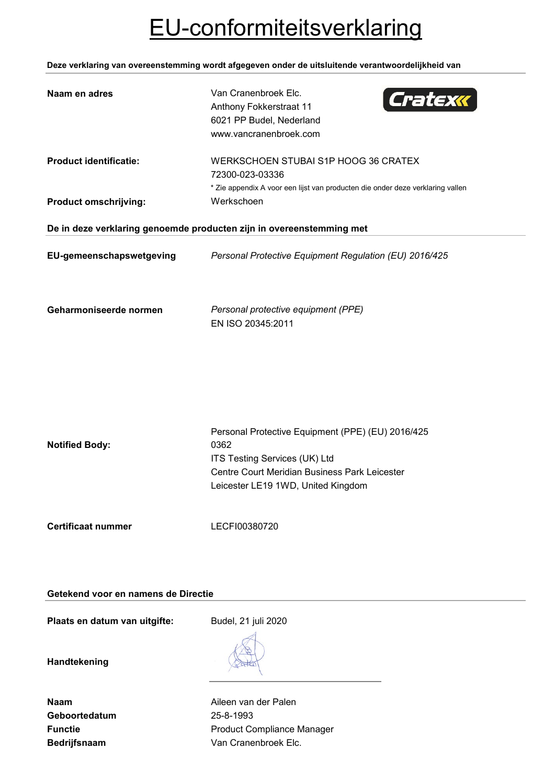# EU-conformiteitsverklaring

**Deze verklaring van overeenstemming wordt afgegeven onder de uitsluitende verantwoordelijkheid van**

| Van Cranenbroek Elc.<br>Cratexk<br>Anthony Fokkerstraat 11<br>6021 PP Budel, Nederland<br>www.vancranenbroek.com                                                                  |
|-----------------------------------------------------------------------------------------------------------------------------------------------------------------------------------|
| WERKSCHOEN STUBAI S1P HOOG 36 CRATEX<br>72300-023-03336<br>* Zie appendix A voor een lijst van producten die onder deze verklaring vallen                                         |
| Werkschoen                                                                                                                                                                        |
| De in deze verklaring genoemde producten zijn in overeenstemming met                                                                                                              |
| Personal Protective Equipment Regulation (EU) 2016/425                                                                                                                            |
| Personal protective equipment (PPE)<br>EN ISO 20345:2011                                                                                                                          |
| Personal Protective Equipment (PPE) (EU) 2016/425<br>0362<br>ITS Testing Services (UK) Ltd<br>Centre Court Meridian Business Park Leicester<br>Leicester LE19 1WD, United Kingdom |
| LECFI00380720                                                                                                                                                                     |
|                                                                                                                                                                                   |

# **Getekend voor en namens de Directie**

Plaats en datum van uitgifte: Budel, 21 juli 2020

**Handtekening**

| Naam                |
|---------------------|
| Geboortedatum       |
| <b>Functie</b>      |
| <b>Bedrijfsnaam</b> |

**Aileen van der Palen Geboortedatum** 25-8-1993 **Product Compliance Manager** Van Cranenbroek Elc.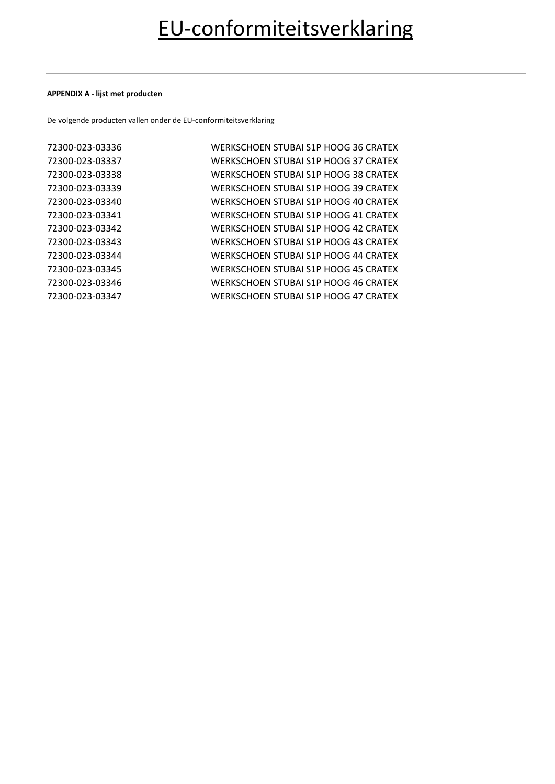### **APPENDIX A - lijst met producten**

De volgende producten vallen onder de EU-conformiteitsverklaring

| 72300-023-03336 | WERKSCHOEN STUBAI S1P HOOG 36 CRATEX |
|-----------------|--------------------------------------|
| 72300-023-03337 | WERKSCHOEN STUBAI S1P HOOG 37 CRATEX |
| 72300-023-03338 | WERKSCHOEN STUBAI S1P HOOG 38 CRATEX |
| 72300-023-03339 | WERKSCHOEN STUBAI S1P HOOG 39 CRATEX |
| 72300-023-03340 | WERKSCHOEN STUBAI S1P HOOG 40 CRATEX |
| 72300-023-03341 | WERKSCHOEN STUBAI S1P HOOG 41 CRATEX |
| 72300-023-03342 | WERKSCHOEN STUBAI S1P HOOG 42 CRATEX |
| 72300-023-03343 | WERKSCHOEN STUBAI S1P HOOG 43 CRATEX |
| 72300-023-03344 | WERKSCHOEN STUBAI S1P HOOG 44 CRATEX |
| 72300-023-03345 | WERKSCHOEN STUBAI S1P HOOG 45 CRATEX |
| 72300-023-03346 | WERKSCHOEN STUBAI S1P HOOG 46 CRATEX |
| 72300-023-03347 | WERKSCHOEN STUBAI S1P HOOG 47 CRATEX |
|                 |                                      |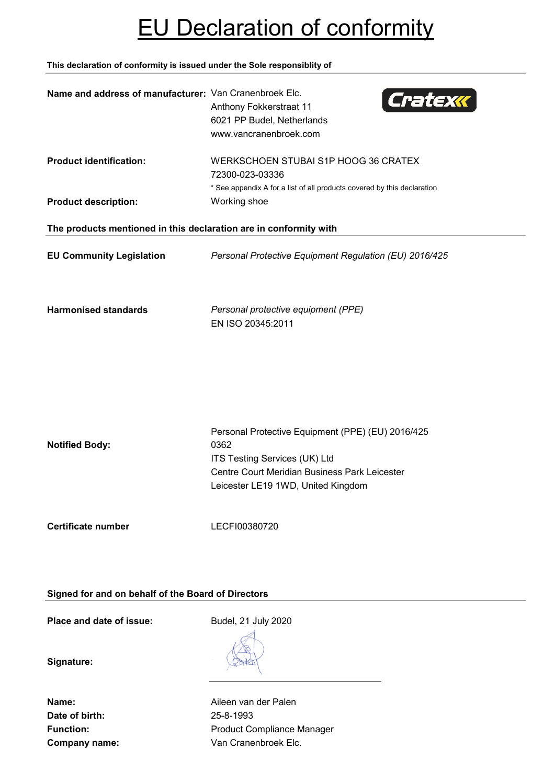# EU Declaration of conformity

**This declaration of conformity is issued under the Sole responsiblity of**

| Name and address of manufacturer: Van Cranenbroek Elc.            | Cratexk<br>Anthony Fokkerstraat 11<br>6021 PP Budel, Netherlands<br>www.vancranenbroek.com                                                                                        |
|-------------------------------------------------------------------|-----------------------------------------------------------------------------------------------------------------------------------------------------------------------------------|
| <b>Product identification:</b><br><b>Product description:</b>     | WERKSCHOEN STUBAI S1P HOOG 36 CRATEX<br>72300-023-03336<br>* See appendix A for a list of all products covered by this declaration<br>Working shoe                                |
| The products mentioned in this declaration are in conformity with |                                                                                                                                                                                   |
| <b>EU Community Legislation</b>                                   | Personal Protective Equipment Regulation (EU) 2016/425                                                                                                                            |
| <b>Harmonised standards</b>                                       | Personal protective equipment (PPE)<br>EN ISO 20345:2011                                                                                                                          |
| <b>Notified Body:</b>                                             | Personal Protective Equipment (PPE) (EU) 2016/425<br>0362<br>ITS Testing Services (UK) Ltd<br>Centre Court Meridian Business Park Leicester<br>Leicester LE19 1WD, United Kingdom |
| <b>Certificate number</b>                                         | LECFI00380720                                                                                                                                                                     |

**Signed for and on behalf of the Board of Directors**

**Place and date of issue:** Budel, 21 July 2020

**Signature:**

**Date of birth:** 25-8-1993

**Name:** Aileen van der Palen Function: **Function:** Product Compliance Manager **Company name:** Van Cranenbroek Elc.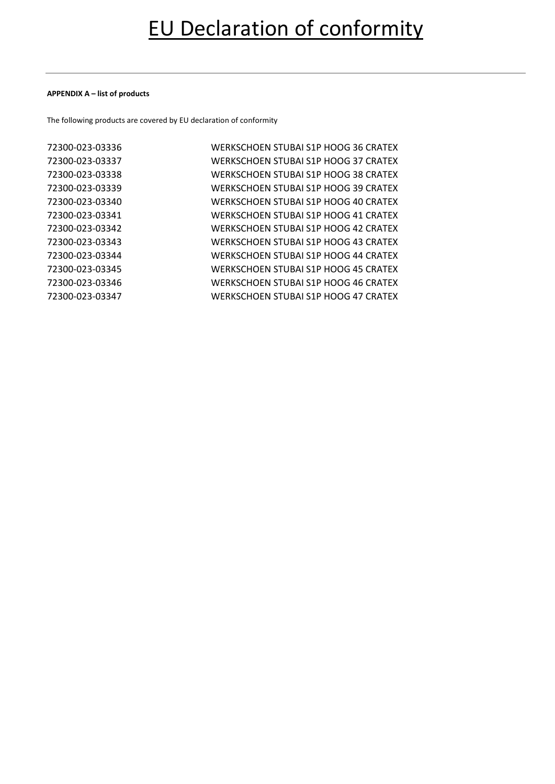### **APPENDIX A – list of products**

The following products are covered by EU declaration of conformity

| 72300-023-03336 | WERKSCHOEN STUBAI S1P HOOG 36 CRATEX |
|-----------------|--------------------------------------|
| 72300-023-03337 | WERKSCHOEN STUBAI S1P HOOG 37 CRATEX |
| 72300-023-03338 | WERKSCHOEN STUBAI S1P HOOG 38 CRATEX |
| 72300-023-03339 | WERKSCHOEN STUBAI S1P HOOG 39 CRATEX |
| 72300-023-03340 | WERKSCHOEN STUBAI S1P HOOG 40 CRATEX |
| 72300-023-03341 | WERKSCHOEN STUBAI S1P HOOG 41 CRATEX |
| 72300-023-03342 | WERKSCHOEN STUBAI S1P HOOG 42 CRATEX |
| 72300-023-03343 | WERKSCHOEN STUBAI S1P HOOG 43 CRATEX |
| 72300-023-03344 | WERKSCHOEN STUBAI S1P HOOG 44 CRATEX |
| 72300-023-03345 | WERKSCHOEN STUBAI S1P HOOG 45 CRATEX |
| 72300-023-03346 | WERKSCHOEN STUBAI S1P HOOG 46 CRATEX |
| 72300-023-03347 | WERKSCHOEN STUBAI S1P HOOG 47 CRATEX |
|                 |                                      |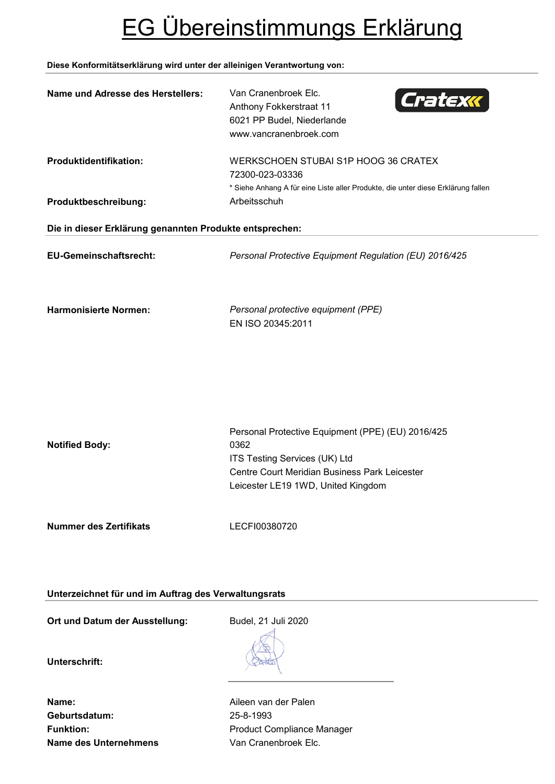# EG Übereinstimmungs Erklärung

## **Diese Konformitätserklärung wird unter der alleinigen Verantwortung von:**

| <b>Name und Adresse des Herstellers:</b>                | Van Cranenbroek Elc.<br>Cratexx<br>Anthony Fokkerstraat 11<br>6021 PP Budel, Niederlande<br>www.vancranenbroek.com                                                                |  |
|---------------------------------------------------------|-----------------------------------------------------------------------------------------------------------------------------------------------------------------------------------|--|
| Produktidentifikation:                                  | WERKSCHOEN STUBAI S1P HOOG 36 CRATEX<br>72300-023-03336<br>* Siehe Anhang A für eine Liste aller Produkte, die unter diese Erklärung fallen                                       |  |
| Produktbeschreibung:                                    | Arbeitsschuh                                                                                                                                                                      |  |
| Die in dieser Erklärung genannten Produkte entsprechen: |                                                                                                                                                                                   |  |
| <b>EU-Gemeinschaftsrecht:</b>                           | Personal Protective Equipment Regulation (EU) 2016/425                                                                                                                            |  |
| <b>Harmonisierte Normen:</b>                            | Personal protective equipment (PPE)<br>EN ISO 20345:2011                                                                                                                          |  |
| <b>Notified Body:</b>                                   | Personal Protective Equipment (PPE) (EU) 2016/425<br>0362<br>ITS Testing Services (UK) Ltd<br>Centre Court Meridian Business Park Leicester<br>Leicester LE19 1WD, United Kingdom |  |
| <b>Nummer des Zertifikats</b>                           | LECFI00380720                                                                                                                                                                     |  |
| Unterzeichnet für und im Auftrag des Verwaltungsrats    |                                                                                                                                                                                   |  |

Ort und Datum der Ausstellung: Budel, 21 Juli 2020

**Unterschrift:**

**Name:** Aileen van der Palen **Geburtsdatum:** 25-8-1993 **Name des Unternehmens** Van Cranenbroek Elc.

Funktion: **Funktion:** Product Compliance Manager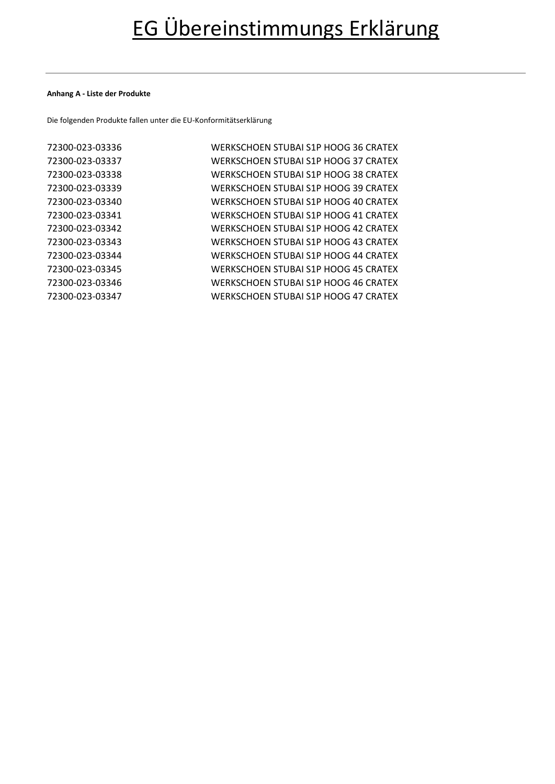### **Anhang A - Liste der Produkte**

Die folgenden Produkte fallen unter die EU-Konformitätserklärung

| 72300-023-03336 | WERKSCHOEN STUBAI S1P HOOG 36 CRATEX |
|-----------------|--------------------------------------|
| 72300-023-03337 | WERKSCHOEN STUBAI S1P HOOG 37 CRATEX |
| 72300-023-03338 | WERKSCHOEN STUBAI S1P HOOG 38 CRATEX |
| 72300-023-03339 | WERKSCHOEN STUBAI S1P HOOG 39 CRATEX |
| 72300-023-03340 | WERKSCHOEN STUBAI S1P HOOG 40 CRATEX |
| 72300-023-03341 | WERKSCHOEN STUBAI S1P HOOG 41 CRATEX |
| 72300-023-03342 | WERKSCHOEN STUBAI S1P HOOG 42 CRATEX |
| 72300-023-03343 | WERKSCHOEN STUBAI S1P HOOG 43 CRATEX |
| 72300-023-03344 | WERKSCHOEN STUBAI S1P HOOG 44 CRATEX |
| 72300-023-03345 | WERKSCHOEN STUBAI S1P HOOG 45 CRATEX |
| 72300-023-03346 | WERKSCHOEN STUBAI S1P HOOG 46 CRATEX |
| 72300-023-03347 | WERKSCHOEN STUBAI S1P HOOG 47 CRATEX |
|                 |                                      |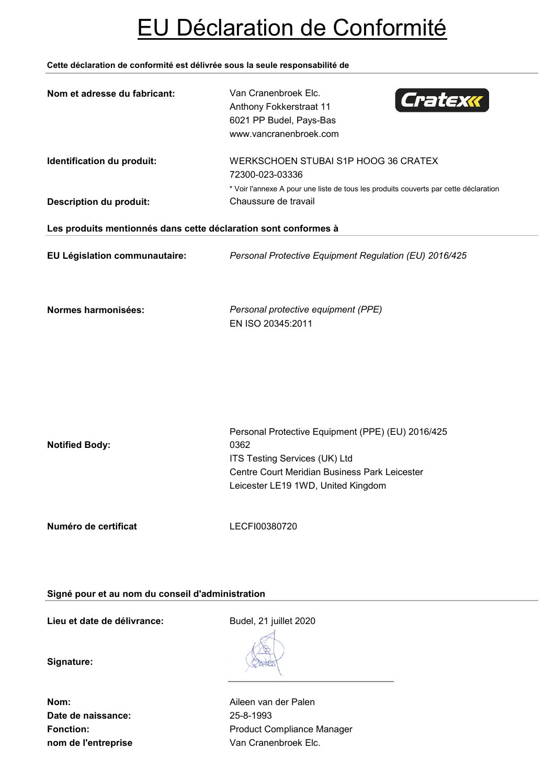# EU Déclaration de Conformité

## **Cette déclaration de conformité est délivrée sous la seule responsabilité de**

| Nom et adresse du fabricant:                                    | Van Cranenbroek Elc.<br>Cratexx<br>Anthony Fokkerstraat 11<br>6021 PP Budel, Pays-Bas<br>www.vancranenbroek.com                                                                   |
|-----------------------------------------------------------------|-----------------------------------------------------------------------------------------------------------------------------------------------------------------------------------|
| Identification du produit:                                      | WERKSCHOEN STUBAI S1P HOOG 36 CRATEX<br>72300-023-03336<br>* Voir l'annexe A pour une liste de tous les produits couverts par cette déclaration                                   |
| <b>Description du produit:</b>                                  | Chaussure de travail                                                                                                                                                              |
| Les produits mentionnés dans cette déclaration sont conformes à |                                                                                                                                                                                   |
| EU Législation communautaire:                                   | Personal Protective Equipment Regulation (EU) 2016/425                                                                                                                            |
| Normes harmonisées:                                             | Personal protective equipment (PPE)<br>EN ISO 20345:2011                                                                                                                          |
| <b>Notified Body:</b>                                           | Personal Protective Equipment (PPE) (EU) 2016/425<br>0362<br>ITS Testing Services (UK) Ltd<br>Centre Court Meridian Business Park Leicester<br>Leicester LE19 1WD, United Kingdom |
| Numéro de certificat                                            | LECFI00380720                                                                                                                                                                     |

**Signé pour et au nom du conseil d'administration**

**Lieu et date de délivrance:** Budel, 21 juillet 2020

**Signature:**

**Date de naissance:** 25-8-1993 **nom de l'entreprise van Cranenbroek Elc.** 

**Nom:** Aileen van der Palen Fonction: **Fonction:** Product Compliance Manager